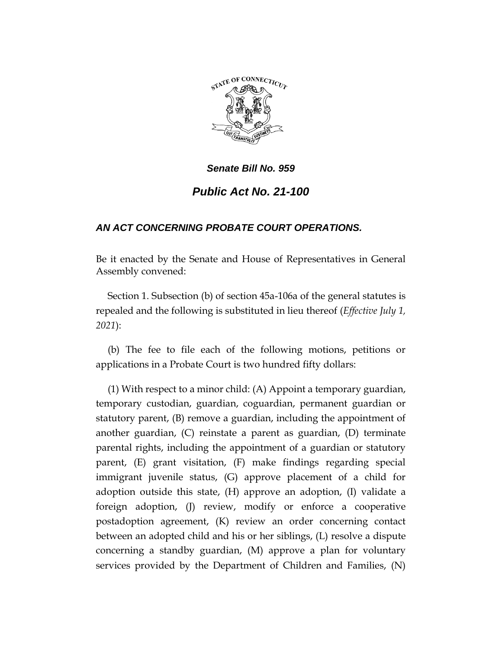

# *Public Act No. 21-100*

# *AN ACT CONCERNING PROBATE COURT OPERATIONS.*

Be it enacted by the Senate and House of Representatives in General Assembly convened:

Section 1. Subsection (b) of section 45a-106a of the general statutes is repealed and the following is substituted in lieu thereof (*Effective July 1, 2021*):

(b) The fee to file each of the following motions, petitions or applications in a Probate Court is two hundred fifty dollars:

(1) With respect to a minor child: (A) Appoint a temporary guardian, temporary custodian, guardian, coguardian, permanent guardian or statutory parent, (B) remove a guardian, including the appointment of another guardian, (C) reinstate a parent as guardian, (D) terminate parental rights, including the appointment of a guardian or statutory parent, (E) grant visitation, (F) make findings regarding special immigrant juvenile status, (G) approve placement of a child for adoption outside this state, (H) approve an adoption, (I) validate a foreign adoption, (J) review, modify or enforce a cooperative postadoption agreement, (K) review an order concerning contact between an adopted child and his or her siblings, (L) resolve a dispute concerning a standby guardian, (M) approve a plan for voluntary services provided by the Department of Children and Families, (N)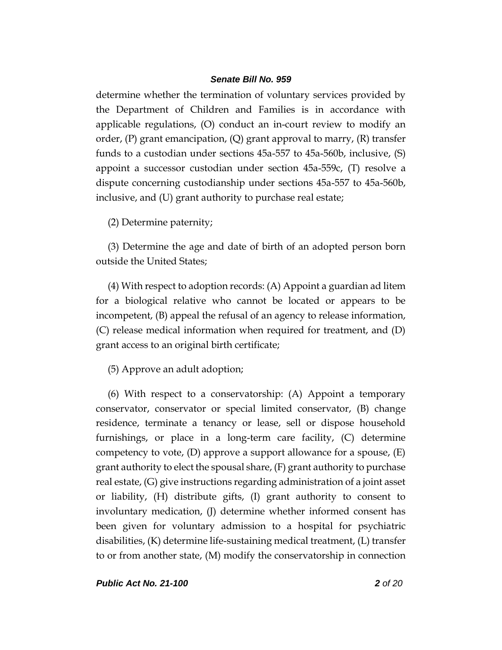determine whether the termination of voluntary services provided by the Department of Children and Families is in accordance with applicable regulations, (O) conduct an in-court review to modify an order,  $(P)$  grant emancipation,  $(Q)$  grant approval to marry,  $(R)$  transfer funds to a custodian under sections 45a-557 to 45a-560b, inclusive, (S) appoint a successor custodian under section 45a-559c, (T) resolve a dispute concerning custodianship under sections 45a-557 to 45a-560b, inclusive, and (U) grant authority to purchase real estate;

(2) Determine paternity;

(3) Determine the age and date of birth of an adopted person born outside the United States;

(4) With respect to adoption records: (A) Appoint a guardian ad litem for a biological relative who cannot be located or appears to be incompetent, (B) appeal the refusal of an agency to release information, (C) release medical information when required for treatment, and (D) grant access to an original birth certificate;

(5) Approve an adult adoption;

(6) With respect to a conservatorship: (A) Appoint a temporary conservator, conservator or special limited conservator, (B) change residence, terminate a tenancy or lease, sell or dispose household furnishings, or place in a long-term care facility, (C) determine competency to vote,  $(D)$  approve a support allowance for a spouse,  $(E)$ grant authority to elect the spousal share, (F) grant authority to purchase real estate, (G) give instructions regarding administration of a joint asset or liability, (H) distribute gifts, (I) grant authority to consent to involuntary medication, (J) determine whether informed consent has been given for voluntary admission to a hospital for psychiatric disabilities, (K) determine life-sustaining medical treatment, (L) transfer to or from another state, (M) modify the conservatorship in connection

*Public Act No. 21-100 2 of 20*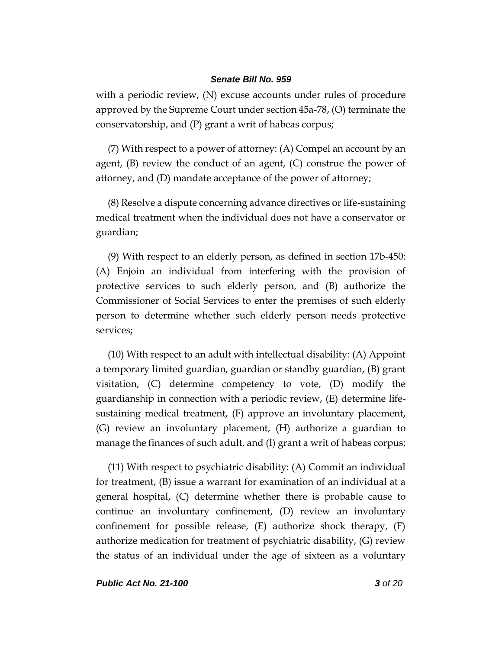with a periodic review, (N) excuse accounts under rules of procedure approved by the Supreme Court under section 45a-78, (O) terminate the conservatorship, and (P) grant a writ of habeas corpus;

(7) With respect to a power of attorney: (A) Compel an account by an agent, (B) review the conduct of an agent, (C) construe the power of attorney, and (D) mandate acceptance of the power of attorney;

(8) Resolve a dispute concerning advance directives or life-sustaining medical treatment when the individual does not have a conservator or guardian;

(9) With respect to an elderly person, as defined in section 17b-450: (A) Enjoin an individual from interfering with the provision of protective services to such elderly person, and (B) authorize the Commissioner of Social Services to enter the premises of such elderly person to determine whether such elderly person needs protective services;

(10) With respect to an adult with intellectual disability: (A) Appoint a temporary limited guardian, guardian or standby guardian, (B) grant visitation, (C) determine competency to vote, (D) modify the guardianship in connection with a periodic review, (E) determine lifesustaining medical treatment, (F) approve an involuntary placement, (G) review an involuntary placement, (H) authorize a guardian to manage the finances of such adult, and (I) grant a writ of habeas corpus;

(11) With respect to psychiatric disability: (A) Commit an individual for treatment, (B) issue a warrant for examination of an individual at a general hospital, (C) determine whether there is probable cause to continue an involuntary confinement, (D) review an involuntary confinement for possible release,  $(E)$  authorize shock therapy,  $(F)$ authorize medication for treatment of psychiatric disability, (G) review the status of an individual under the age of sixteen as a voluntary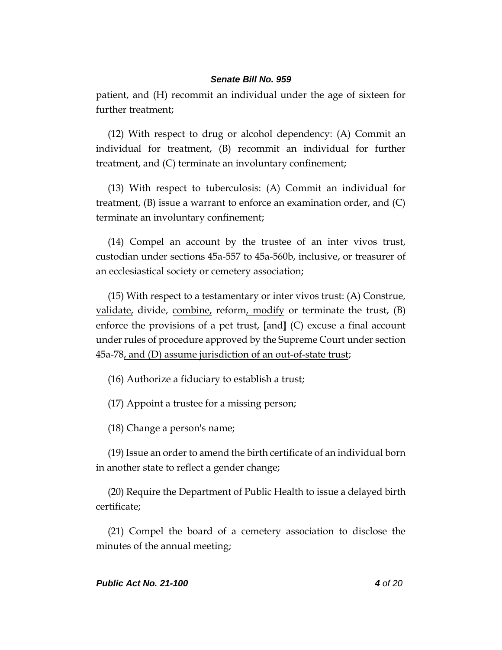patient, and (H) recommit an individual under the age of sixteen for further treatment;

(12) With respect to drug or alcohol dependency: (A) Commit an individual for treatment, (B) recommit an individual for further treatment, and (C) terminate an involuntary confinement;

(13) With respect to tuberculosis: (A) Commit an individual for treatment,  $(B)$  issue a warrant to enforce an examination order, and  $(C)$ terminate an involuntary confinement;

(14) Compel an account by the trustee of an inter vivos trust, custodian under sections 45a-557 to 45a-560b, inclusive, or treasurer of an ecclesiastical society or cemetery association;

(15) With respect to a testamentary or inter vivos trust: (A) Construe, validate, divide, combine, reform, modify or terminate the trust,  $(B)$ enforce the provisions of a pet trust, **[**and**]** (C) excuse a final account under rules of procedure approved by the Supreme Court under section 45a-78, and (D) assume jurisdiction of an out-of-state trust;

(16) Authorize a fiduciary to establish a trust;

(17) Appoint a trustee for a missing person;

(18) Change a person's name;

(19) Issue an order to amend the birth certificate of an individual born in another state to reflect a gender change;

(20) Require the Department of Public Health to issue a delayed birth certificate;

(21) Compel the board of a cemetery association to disclose the minutes of the annual meeting;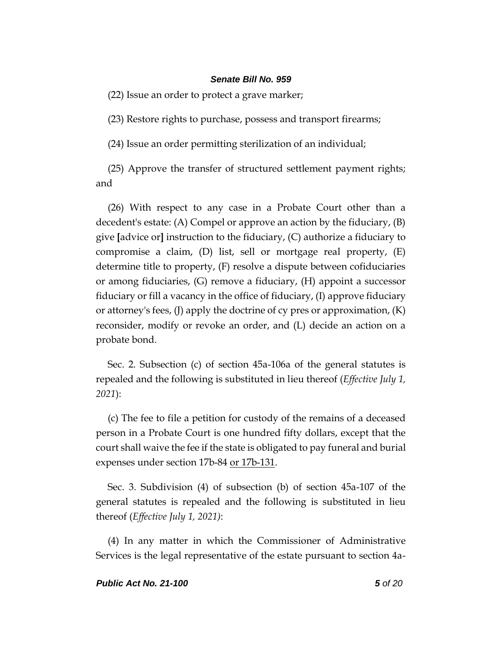(22) Issue an order to protect a grave marker;

(23) Restore rights to purchase, possess and transport firearms;

(24) Issue an order permitting sterilization of an individual;

(25) Approve the transfer of structured settlement payment rights; and

(26) With respect to any case in a Probate Court other than a decedent's estate: (A) Compel or approve an action by the fiduciary, (B) give **[**advice or**]** instruction to the fiduciary, (C) authorize a fiduciary to compromise a claim, (D) list, sell or mortgage real property, (E) determine title to property, (F) resolve a dispute between cofiduciaries or among fiduciaries, (G) remove a fiduciary, (H) appoint a successor fiduciary or fill a vacancy in the office of fiduciary, (I) approve fiduciary or attorney's fees, (J) apply the doctrine of cy pres or approximation, (K) reconsider, modify or revoke an order, and (L) decide an action on a probate bond.

Sec. 2. Subsection (c) of section 45a-106a of the general statutes is repealed and the following is substituted in lieu thereof (*Effective July 1, 2021*):

(c) The fee to file a petition for custody of the remains of a deceased person in a Probate Court is one hundred fifty dollars, except that the court shall waive the fee if the state is obligated to pay funeral and burial expenses under section 17b-84 or 17b-131.

Sec. 3. Subdivision (4) of subsection (b) of section 45a-107 of the general statutes is repealed and the following is substituted in lieu thereof (*Effective July 1, 2021)*:

(4) In any matter in which the Commissioner of Administrative Services is the legal representative of the estate pursuant to section 4a-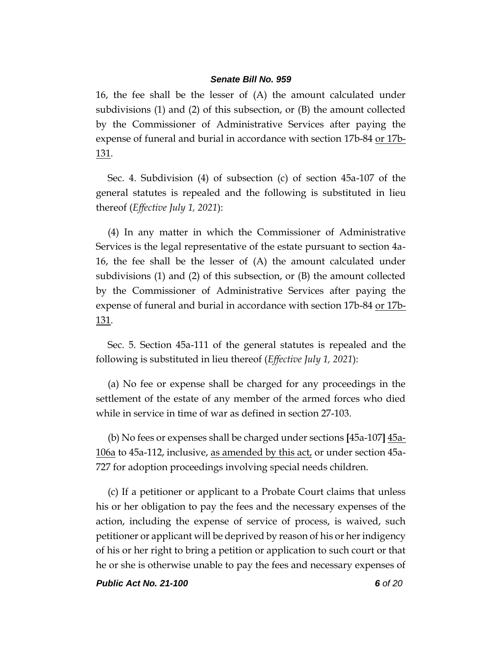16, the fee shall be the lesser of (A) the amount calculated under subdivisions (1) and (2) of this subsection, or (B) the amount collected by the Commissioner of Administrative Services after paying the expense of funeral and burial in accordance with section 17b-84 or 17b-131.

Sec. 4. Subdivision (4) of subsection (c) of section 45a-107 of the general statutes is repealed and the following is substituted in lieu thereof (*Effective July 1, 2021*):

(4) In any matter in which the Commissioner of Administrative Services is the legal representative of the estate pursuant to section 4a-16, the fee shall be the lesser of (A) the amount calculated under subdivisions (1) and (2) of this subsection, or (B) the amount collected by the Commissioner of Administrative Services after paying the expense of funeral and burial in accordance with section 17b-84 or 17b-131.

Sec. 5. Section 45a-111 of the general statutes is repealed and the following is substituted in lieu thereof (*Effective July 1, 2021*):

(a) No fee or expense shall be charged for any proceedings in the settlement of the estate of any member of the armed forces who died while in service in time of war as defined in section 27-103.

(b) No fees or expenses shall be charged under sections **[**45a-107**]** 45a-106a to 45a-112, inclusive, as amended by this  $act<sub>t</sub>$  or under section 45a-727 for adoption proceedings involving special needs children.

(c) If a petitioner or applicant to a Probate Court claims that unless his or her obligation to pay the fees and the necessary expenses of the action, including the expense of service of process, is waived, such petitioner or applicant will be deprived by reason of his or her indigency of his or her right to bring a petition or application to such court or that he or she is otherwise unable to pay the fees and necessary expenses of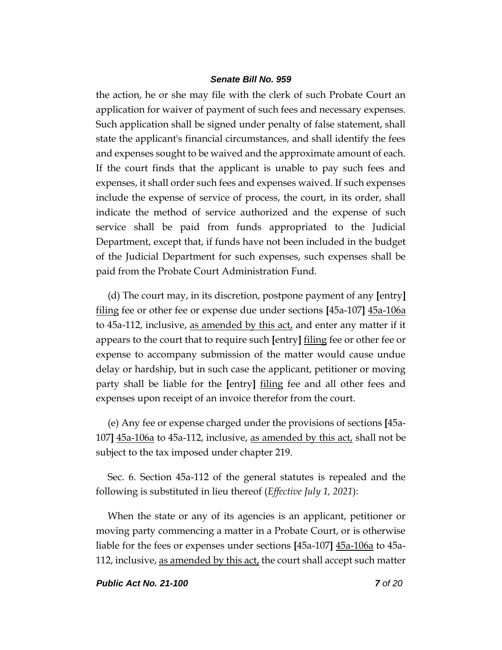the action, he or she may file with the clerk of such Probate Court an application for waiver of payment of such fees and necessary expenses. Such application shall be signed under penalty of false statement, shall state the applicant's financial circumstances, and shall identify the fees and expenses sought to be waived and the approximate amount of each. If the court finds that the applicant is unable to pay such fees and expenses, it shall order such fees and expenses waived. If such expenses include the expense of service of process, the court, in its order, shall indicate the method of service authorized and the expense of such service shall be paid from funds appropriated to the Judicial Department, except that, if funds have not been included in the budget of the Judicial Department for such expenses, such expenses shall be paid from the Probate Court Administration Fund.

(d) The court may, in its discretion, postpone payment of any **[**entry**]** filing fee or other fee or expense due under sections **[**45a-107**]** 45a-106a to 45a-112, inclusive, as amended by this act, and enter any matter if it appears to the court that to require such **[**entry**]** filing fee or other fee or expense to accompany submission of the matter would cause undue delay or hardship, but in such case the applicant, petitioner or moving party shall be liable for the **[**entry**]** filing fee and all other fees and expenses upon receipt of an invoice therefor from the court.

(e) Any fee or expense charged under the provisions of sections **[**45a-107**]** 45a-106a to 45a-112, inclusive, as amended by this act, shall not be subject to the tax imposed under chapter 219.

Sec. 6. Section 45a-112 of the general statutes is repealed and the following is substituted in lieu thereof (*Effective July 1, 2021*):

When the state or any of its agencies is an applicant, petitioner or moving party commencing a matter in a Probate Court, or is otherwise liable for the fees or expenses under sections **[**45a-107**]** 45a-106a to 45a-112, inclusive, as amended by this act, the court shall accept such matter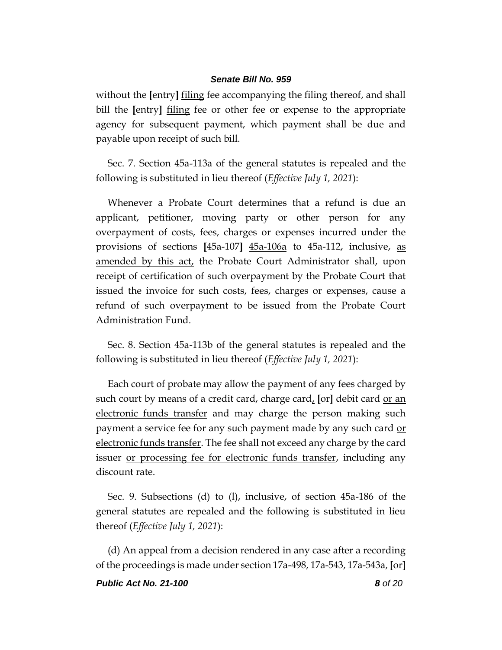without the **[**entry**]** filing fee accompanying the filing thereof, and shall bill the **[**entry**]** filing fee or other fee or expense to the appropriate agency for subsequent payment, which payment shall be due and payable upon receipt of such bill.

Sec. 7. Section 45a-113a of the general statutes is repealed and the following is substituted in lieu thereof (*Effective July 1, 2021*):

Whenever a Probate Court determines that a refund is due an applicant, petitioner, moving party or other person for any overpayment of costs, fees, charges or expenses incurred under the provisions of sections **[**45a-107**]** 45a-106a to 45a-112, inclusive, as amended by this act, the Probate Court Administrator shall, upon receipt of certification of such overpayment by the Probate Court that issued the invoice for such costs, fees, charges or expenses, cause a refund of such overpayment to be issued from the Probate Court Administration Fund.

Sec. 8. Section 45a-113b of the general statutes is repealed and the following is substituted in lieu thereof (*Effective July 1, 2021*):

Each court of probate may allow the payment of any fees charged by such court by means of a credit card, charge card, **[**or**]** debit card or an electronic funds transfer and may charge the person making such payment a service fee for any such payment made by any such card or electronic funds transfer. The fee shall not exceed any charge by the card issuer or processing fee for electronic funds transfer, including any discount rate.

Sec. 9. Subsections (d) to (l), inclusive, of section 45a-186 of the general statutes are repealed and the following is substituted in lieu thereof (*Effective July 1, 2021*):

(d) An appeal from a decision rendered in any case after a recording of the proceedings is made under section 17a-498, 17a-543, 17a-543a, **[**or**]**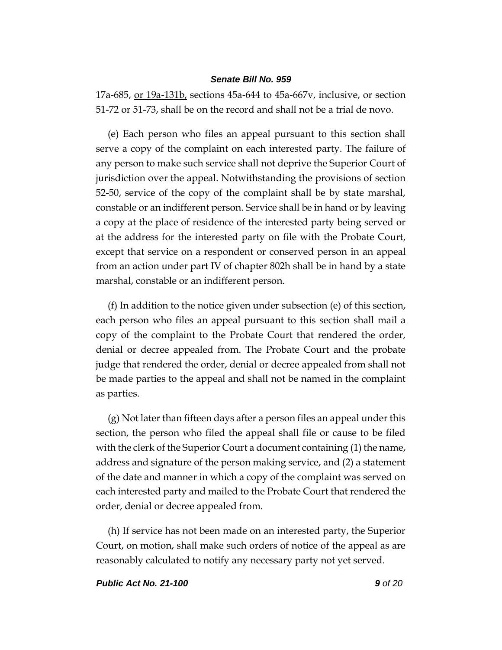17a-685, or 19a-131b, sections 45a-644 to 45a-667v, inclusive, or section 51-72 or 51-73, shall be on the record and shall not be a trial de novo.

(e) Each person who files an appeal pursuant to this section shall serve a copy of the complaint on each interested party. The failure of any person to make such service shall not deprive the Superior Court of jurisdiction over the appeal. Notwithstanding the provisions of section 52-50, service of the copy of the complaint shall be by state marshal, constable or an indifferent person. Service shall be in hand or by leaving a copy at the place of residence of the interested party being served or at the address for the interested party on file with the Probate Court, except that service on a respondent or conserved person in an appeal from an action under part IV of chapter 802h shall be in hand by a state marshal, constable or an indifferent person.

(f) In addition to the notice given under subsection (e) of this section, each person who files an appeal pursuant to this section shall mail a copy of the complaint to the Probate Court that rendered the order, denial or decree appealed from. The Probate Court and the probate judge that rendered the order, denial or decree appealed from shall not be made parties to the appeal and shall not be named in the complaint as parties.

(g) Not later than fifteen days after a person files an appeal under this section, the person who filed the appeal shall file or cause to be filed with the clerk of the Superior Court a document containing (1) the name, address and signature of the person making service, and (2) a statement of the date and manner in which a copy of the complaint was served on each interested party and mailed to the Probate Court that rendered the order, denial or decree appealed from.

(h) If service has not been made on an interested party, the Superior Court, on motion, shall make such orders of notice of the appeal as are reasonably calculated to notify any necessary party not yet served.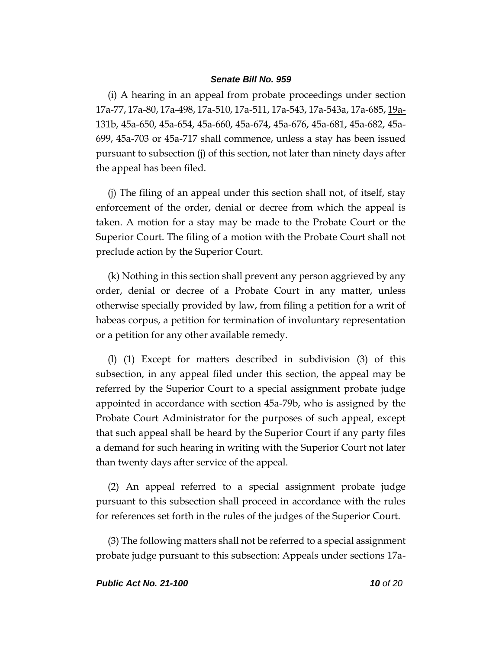(i) A hearing in an appeal from probate proceedings under section 17a-77, 17a-80, 17a-498, 17a-510, 17a-511, 17a-543, 17a-543a, 17a-685, 19a-131b, 45a-650, 45a-654, 45a-660, 45a-674, 45a-676, 45a-681, 45a-682, 45a-699, 45a-703 or 45a-717 shall commence, unless a stay has been issued pursuant to subsection (j) of this section, not later than ninety days after the appeal has been filed.

(j) The filing of an appeal under this section shall not, of itself, stay enforcement of the order, denial or decree from which the appeal is taken. A motion for a stay may be made to the Probate Court or the Superior Court. The filing of a motion with the Probate Court shall not preclude action by the Superior Court.

(k) Nothing in this section shall prevent any person aggrieved by any order, denial or decree of a Probate Court in any matter, unless otherwise specially provided by law, from filing a petition for a writ of habeas corpus, a petition for termination of involuntary representation or a petition for any other available remedy.

(l) (1) Except for matters described in subdivision (3) of this subsection, in any appeal filed under this section, the appeal may be referred by the Superior Court to a special assignment probate judge appointed in accordance with section 45a-79b, who is assigned by the Probate Court Administrator for the purposes of such appeal, except that such appeal shall be heard by the Superior Court if any party files a demand for such hearing in writing with the Superior Court not later than twenty days after service of the appeal.

(2) An appeal referred to a special assignment probate judge pursuant to this subsection shall proceed in accordance with the rules for references set forth in the rules of the judges of the Superior Court.

(3) The following matters shall not be referred to a special assignment probate judge pursuant to this subsection: Appeals under sections 17a-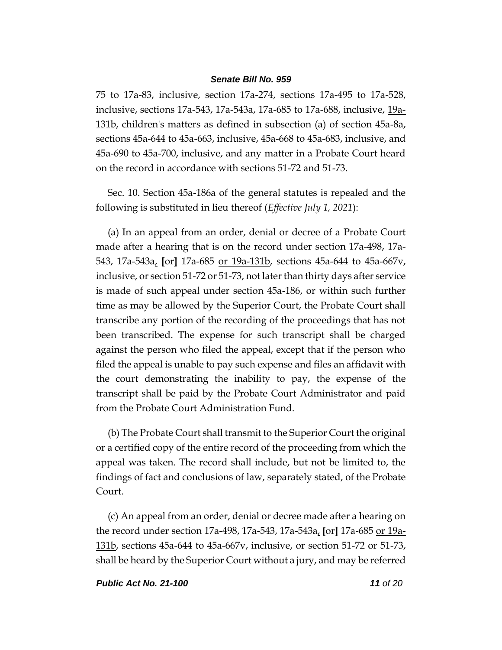75 to 17a-83, inclusive, section 17a-274, sections 17a-495 to 17a-528, inclusive, sections 17a-543, 17a-543a, 17a-685 to 17a-688, inclusive, 19a-131b, children's matters as defined in subsection (a) of section 45a-8a, sections 45a-644 to 45a-663, inclusive, 45a-668 to 45a-683, inclusive, and 45a-690 to 45a-700, inclusive, and any matter in a Probate Court heard on the record in accordance with sections 51-72 and 51-73.

Sec. 10. Section 45a-186a of the general statutes is repealed and the following is substituted in lieu thereof (*Effective July 1, 2021*):

(a) In an appeal from an order, denial or decree of a Probate Court made after a hearing that is on the record under section 17a-498, 17a-543, 17a-543a, **[**or**]** 17a-685 or 19a-131b, sections 45a-644 to 45a-667v, inclusive, or section 51-72 or 51-73, not later than thirty days after service is made of such appeal under section 45a-186, or within such further time as may be allowed by the Superior Court, the Probate Court shall transcribe any portion of the recording of the proceedings that has not been transcribed. The expense for such transcript shall be charged against the person who filed the appeal, except that if the person who filed the appeal is unable to pay such expense and files an affidavit with the court demonstrating the inability to pay, the expense of the transcript shall be paid by the Probate Court Administrator and paid from the Probate Court Administration Fund.

(b) The Probate Court shall transmit to the Superior Court the original or a certified copy of the entire record of the proceeding from which the appeal was taken. The record shall include, but not be limited to, the findings of fact and conclusions of law, separately stated, of the Probate Court.

(c) An appeal from an order, denial or decree made after a hearing on the record under section 17a-498, 17a-543, 17a-543a, **[**or**]** 17a-685 or 19a-131b, sections 45a-644 to 45a-667v, inclusive, or section 51-72 or 51-73, shall be heard by the Superior Court without a jury, and may be referred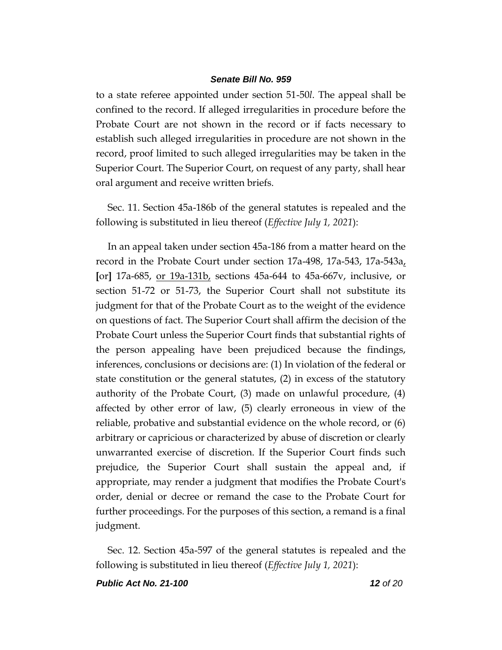to a state referee appointed under section 51-50*l*. The appeal shall be confined to the record. If alleged irregularities in procedure before the Probate Court are not shown in the record or if facts necessary to establish such alleged irregularities in procedure are not shown in the record, proof limited to such alleged irregularities may be taken in the Superior Court. The Superior Court, on request of any party, shall hear oral argument and receive written briefs.

Sec. 11. Section 45a-186b of the general statutes is repealed and the following is substituted in lieu thereof (*Effective July 1, 2021*):

In an appeal taken under section 45a-186 from a matter heard on the record in the Probate Court under section 17a-498, 17a-543, 17a-543a, **[**or**]** 17a-685, or 19a-131b, sections 45a-644 to 45a-667v, inclusive, or section 51-72 or 51-73, the Superior Court shall not substitute its judgment for that of the Probate Court as to the weight of the evidence on questions of fact. The Superior Court shall affirm the decision of the Probate Court unless the Superior Court finds that substantial rights of the person appealing have been prejudiced because the findings, inferences, conclusions or decisions are: (1) In violation of the federal or state constitution or the general statutes, (2) in excess of the statutory authority of the Probate Court, (3) made on unlawful procedure, (4) affected by other error of law, (5) clearly erroneous in view of the reliable, probative and substantial evidence on the whole record, or (6) arbitrary or capricious or characterized by abuse of discretion or clearly unwarranted exercise of discretion. If the Superior Court finds such prejudice, the Superior Court shall sustain the appeal and, if appropriate, may render a judgment that modifies the Probate Court's order, denial or decree or remand the case to the Probate Court for further proceedings. For the purposes of this section, a remand is a final judgment.

Sec. 12. Section 45a-597 of the general statutes is repealed and the following is substituted in lieu thereof (*Effective July 1, 2021*):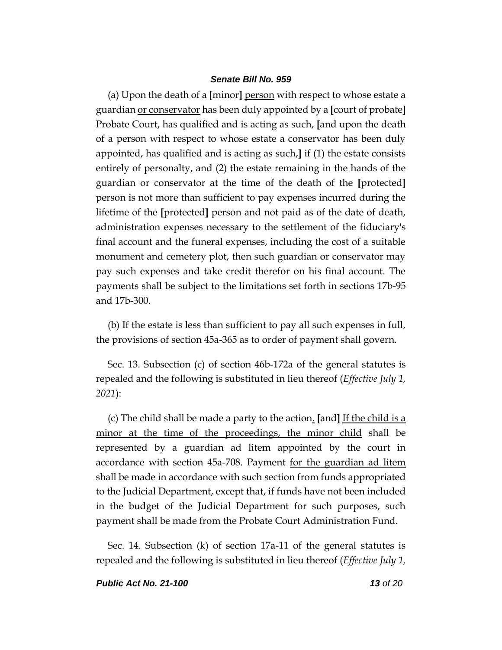(a) Upon the death of a **[**minor**]** person with respect to whose estate a guardian or conservator has been duly appointed by a **[**court of probate**]** Probate Court, has qualified and is acting as such, **[**and upon the death of a person with respect to whose estate a conservator has been duly appointed, has qualified and is acting as such,**]** if (1) the estate consists entirely of personalty, and (2) the estate remaining in the hands of the guardian or conservator at the time of the death of the **[**protected**]** person is not more than sufficient to pay expenses incurred during the lifetime of the **[**protected**]** person and not paid as of the date of death, administration expenses necessary to the settlement of the fiduciary's final account and the funeral expenses, including the cost of a suitable monument and cemetery plot, then such guardian or conservator may pay such expenses and take credit therefor on his final account. The payments shall be subject to the limitations set forth in sections 17b-95 and 17b-300.

(b) If the estate is less than sufficient to pay all such expenses in full, the provisions of section 45a-365 as to order of payment shall govern.

Sec. 13. Subsection (c) of section 46b-172a of the general statutes is repealed and the following is substituted in lieu thereof (*Effective July 1, 2021*):

(c) The child shall be made a party to the action. **[**and**]** If the child is a minor at the time of the proceedings, the minor child shall be represented by a guardian ad litem appointed by the court in accordance with section 45a-708. Payment for the guardian ad litem shall be made in accordance with such section from funds appropriated to the Judicial Department, except that, if funds have not been included in the budget of the Judicial Department for such purposes, such payment shall be made from the Probate Court Administration Fund.

Sec. 14. Subsection (k) of section 17a-11 of the general statutes is repealed and the following is substituted in lieu thereof (*Effective July 1,*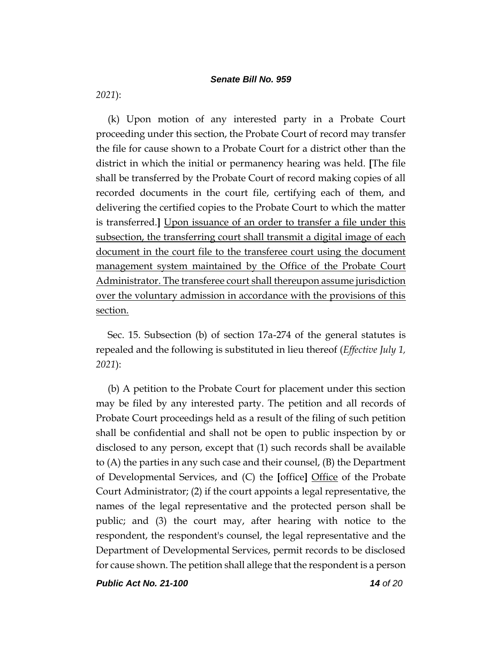*2021*):

(k) Upon motion of any interested party in a Probate Court proceeding under this section, the Probate Court of record may transfer the file for cause shown to a Probate Court for a district other than the district in which the initial or permanency hearing was held. **[**The file shall be transferred by the Probate Court of record making copies of all recorded documents in the court file, certifying each of them, and delivering the certified copies to the Probate Court to which the matter is transferred.**]** Upon issuance of an order to transfer a file under this subsection, the transferring court shall transmit a digital image of each document in the court file to the transferee court using the document management system maintained by the Office of the Probate Court Administrator. The transferee court shall thereupon assume jurisdiction over the voluntary admission in accordance with the provisions of this section.

Sec. 15. Subsection (b) of section 17a-274 of the general statutes is repealed and the following is substituted in lieu thereof (*Effective July 1, 2021*):

(b) A petition to the Probate Court for placement under this section may be filed by any interested party. The petition and all records of Probate Court proceedings held as a result of the filing of such petition shall be confidential and shall not be open to public inspection by or disclosed to any person, except that (1) such records shall be available to (A) the parties in any such case and their counsel, (B) the Department of Developmental Services, and (C) the **[**office**]** Office of the Probate Court Administrator; (2) if the court appoints a legal representative, the names of the legal representative and the protected person shall be public; and (3) the court may, after hearing with notice to the respondent, the respondent's counsel, the legal representative and the Department of Developmental Services, permit records to be disclosed for cause shown. The petition shall allege that the respondent is a person

*Public Act No. 21-100 14 of 20*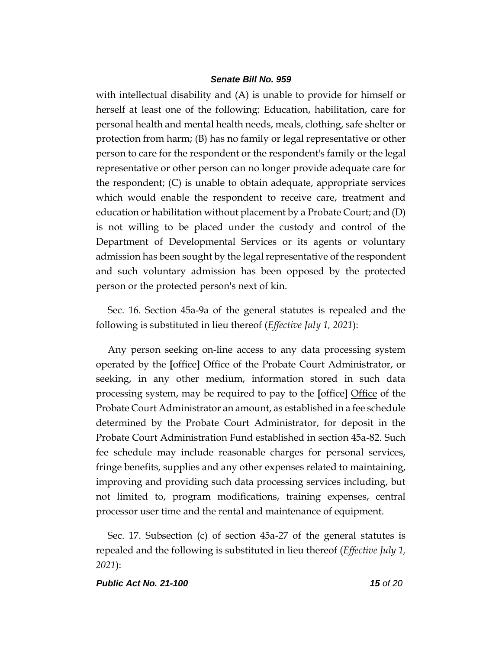with intellectual disability and (A) is unable to provide for himself or herself at least one of the following: Education, habilitation, care for personal health and mental health needs, meals, clothing, safe shelter or protection from harm; (B) has no family or legal representative or other person to care for the respondent or the respondent's family or the legal representative or other person can no longer provide adequate care for the respondent; (C) is unable to obtain adequate, appropriate services which would enable the respondent to receive care, treatment and education or habilitation without placement by a Probate Court; and (D) is not willing to be placed under the custody and control of the Department of Developmental Services or its agents or voluntary admission has been sought by the legal representative of the respondent and such voluntary admission has been opposed by the protected person or the protected person's next of kin.

Sec. 16. Section 45a-9a of the general statutes is repealed and the following is substituted in lieu thereof (*Effective July 1, 2021*):

Any person seeking on-line access to any data processing system operated by the **[**office**]** Office of the Probate Court Administrator, or seeking, in any other medium, information stored in such data processing system, may be required to pay to the **[**office**]** Office of the Probate Court Administrator an amount, as established in a fee schedule determined by the Probate Court Administrator, for deposit in the Probate Court Administration Fund established in section 45a-82. Such fee schedule may include reasonable charges for personal services, fringe benefits, supplies and any other expenses related to maintaining, improving and providing such data processing services including, but not limited to, program modifications, training expenses, central processor user time and the rental and maintenance of equipment.

Sec. 17. Subsection (c) of section 45a-27 of the general statutes is repealed and the following is substituted in lieu thereof (*Effective July 1, 2021*):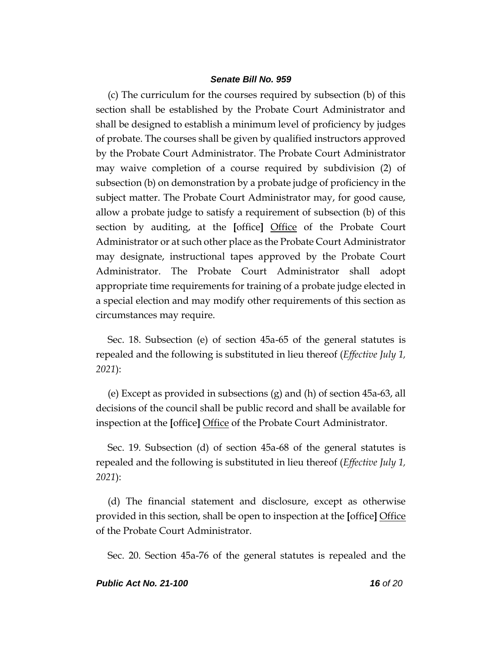(c) The curriculum for the courses required by subsection (b) of this section shall be established by the Probate Court Administrator and shall be designed to establish a minimum level of proficiency by judges of probate. The courses shall be given by qualified instructors approved by the Probate Court Administrator. The Probate Court Administrator may waive completion of a course required by subdivision (2) of subsection (b) on demonstration by a probate judge of proficiency in the subject matter. The Probate Court Administrator may, for good cause, allow a probate judge to satisfy a requirement of subsection (b) of this section by auditing, at the **[**office**]** Office of the Probate Court Administrator or at such other place as the Probate Court Administrator may designate, instructional tapes approved by the Probate Court Administrator. The Probate Court Administrator shall adopt appropriate time requirements for training of a probate judge elected in a special election and may modify other requirements of this section as circumstances may require.

Sec. 18. Subsection (e) of section 45a-65 of the general statutes is repealed and the following is substituted in lieu thereof (*Effective July 1, 2021*):

(e) Except as provided in subsections (g) and (h) of section 45a-63, all decisions of the council shall be public record and shall be available for inspection at the **[**office**]** Office of the Probate Court Administrator.

Sec. 19. Subsection (d) of section 45a-68 of the general statutes is repealed and the following is substituted in lieu thereof (*Effective July 1, 2021*):

(d) The financial statement and disclosure, except as otherwise provided in this section, shall be open to inspection at the **[**office**]** Office of the Probate Court Administrator.

Sec. 20. Section 45a-76 of the general statutes is repealed and the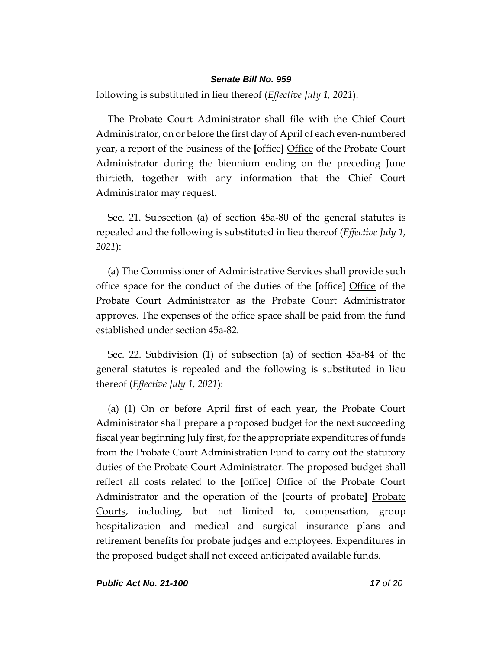following is substituted in lieu thereof (*Effective July 1, 2021*):

The Probate Court Administrator shall file with the Chief Court Administrator, on or before the first day of April of each even-numbered year, a report of the business of the **[**office**]** Office of the Probate Court Administrator during the biennium ending on the preceding June thirtieth, together with any information that the Chief Court Administrator may request.

Sec. 21. Subsection (a) of section 45a-80 of the general statutes is repealed and the following is substituted in lieu thereof (*Effective July 1, 2021*):

(a) The Commissioner of Administrative Services shall provide such office space for the conduct of the duties of the **[**office**]** Office of the Probate Court Administrator as the Probate Court Administrator approves. The expenses of the office space shall be paid from the fund established under section 45a-82.

Sec. 22. Subdivision (1) of subsection (a) of section 45a-84 of the general statutes is repealed and the following is substituted in lieu thereof (*Effective July 1, 2021*):

(a) (1) On or before April first of each year, the Probate Court Administrator shall prepare a proposed budget for the next succeeding fiscal year beginning July first, for the appropriate expenditures of funds from the Probate Court Administration Fund to carry out the statutory duties of the Probate Court Administrator. The proposed budget shall reflect all costs related to the **[**office**]** Office of the Probate Court Administrator and the operation of the **[**courts of probate**]** Probate Courts, including, but not limited to, compensation, group hospitalization and medical and surgical insurance plans and retirement benefits for probate judges and employees. Expenditures in the proposed budget shall not exceed anticipated available funds.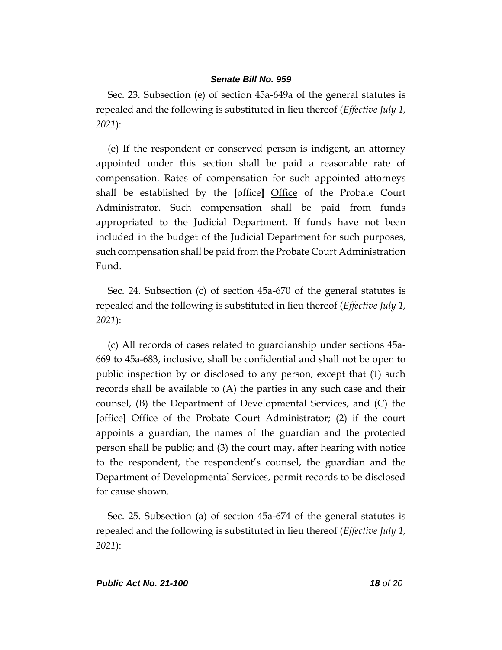Sec. 23. Subsection (e) of section 45a-649a of the general statutes is repealed and the following is substituted in lieu thereof (*Effective July 1, 2021*):

(e) If the respondent or conserved person is indigent, an attorney appointed under this section shall be paid a reasonable rate of compensation. Rates of compensation for such appointed attorneys shall be established by the **[**office**]** Office of the Probate Court Administrator. Such compensation shall be paid from funds appropriated to the Judicial Department. If funds have not been included in the budget of the Judicial Department for such purposes, such compensation shall be paid from the Probate Court Administration Fund.

Sec. 24. Subsection (c) of section 45a-670 of the general statutes is repealed and the following is substituted in lieu thereof (*Effective July 1, 2021*):

(c) All records of cases related to guardianship under sections 45a-669 to 45a-683, inclusive, shall be confidential and shall not be open to public inspection by or disclosed to any person, except that (1) such records shall be available to (A) the parties in any such case and their counsel, (B) the Department of Developmental Services, and (C) the **[**office**]** Office of the Probate Court Administrator; (2) if the court appoints a guardian, the names of the guardian and the protected person shall be public; and (3) the court may, after hearing with notice to the respondent, the respondent's counsel, the guardian and the Department of Developmental Services, permit records to be disclosed for cause shown.

Sec. 25. Subsection (a) of section 45a-674 of the general statutes is repealed and the following is substituted in lieu thereof (*Effective July 1, 2021*):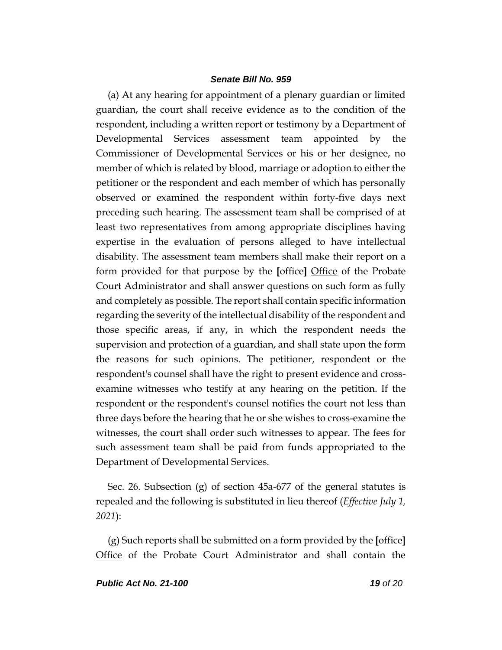(a) At any hearing for appointment of a plenary guardian or limited guardian, the court shall receive evidence as to the condition of the respondent, including a written report or testimony by a Department of Developmental Services assessment team appointed by the Commissioner of Developmental Services or his or her designee, no member of which is related by blood, marriage or adoption to either the petitioner or the respondent and each member of which has personally observed or examined the respondent within forty-five days next preceding such hearing. The assessment team shall be comprised of at least two representatives from among appropriate disciplines having expertise in the evaluation of persons alleged to have intellectual disability. The assessment team members shall make their report on a form provided for that purpose by the **[**office**]** Office of the Probate Court Administrator and shall answer questions on such form as fully and completely as possible. The report shall contain specific information regarding the severity of the intellectual disability of the respondent and those specific areas, if any, in which the respondent needs the supervision and protection of a guardian, and shall state upon the form the reasons for such opinions. The petitioner, respondent or the respondent's counsel shall have the right to present evidence and crossexamine witnesses who testify at any hearing on the petition. If the respondent or the respondent's counsel notifies the court not less than three days before the hearing that he or she wishes to cross-examine the witnesses, the court shall order such witnesses to appear. The fees for such assessment team shall be paid from funds appropriated to the Department of Developmental Services.

Sec. 26. Subsection (g) of section 45a-677 of the general statutes is repealed and the following is substituted in lieu thereof (*Effective July 1, 2021*):

(g) Such reports shall be submitted on a form provided by the **[**office**]** Office of the Probate Court Administrator and shall contain the